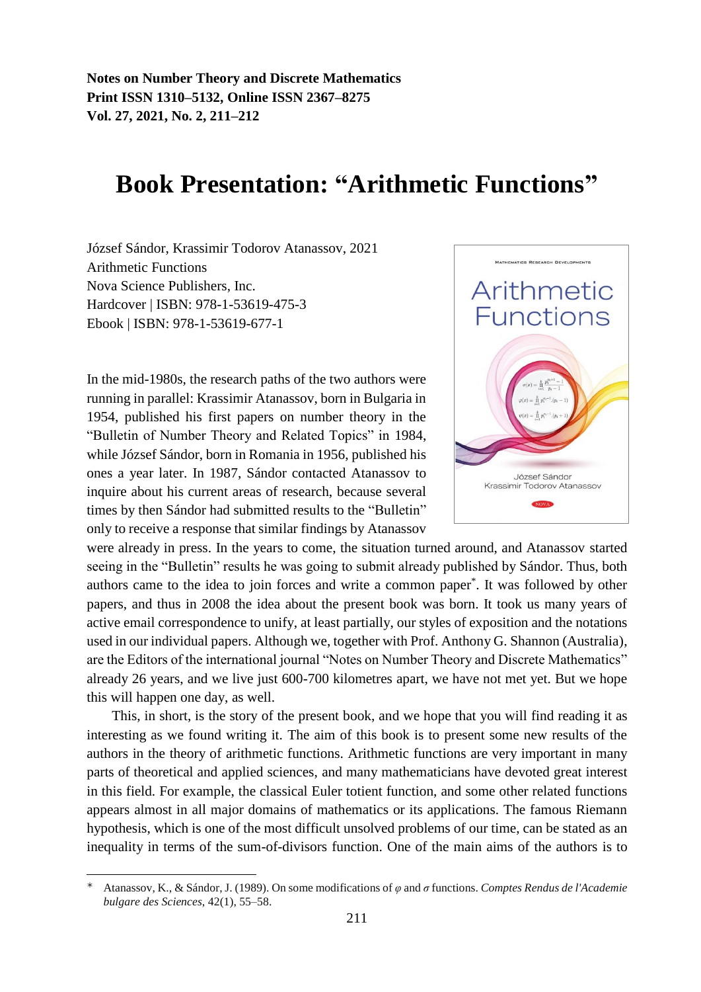## **Book Presentation: "Arithmetic Functions"**

József Sándor, Krassimir Todorov Atanassov, 2021 Arithmetic Functions Nova Science Publishers, Inc. Hardcover | ISBN: 978-1-53619-475-3 Ebook | ISBN: 978-1-53619-677-1

In the mid-1980s, the research paths of the two authors were running in parallel: Krassimir Atanassov, born in Bulgaria in 1954, published his first papers on number theory in the "Bulletin of Number Theory and Related Topics" in 1984, while József Sándor, born in Romania in 1956, published his ones a year later. In 1987, Sándor contacted Atanassov to inquire about his current areas of research, because several times by then Sándor had submitted results to the "Bulletin" only to receive a response that similar findings by Atanassov

 $\overline{a}$ 

were already in press. In the years to come, the situation turned around, and Atanassov started seeing in the "Bulletin" results he was going to submit already published by Sándor. Thus, both authors came to the idea to join forces and write a common paper\* . It was followed by other papers, and thus in 2008 the idea about the present book was born. It took us many years of active email correspondence to unify, at least partially, our styles of exposition and the notations used in our individual papers. Although we, together with Prof. Anthony G. Shannon (Australia), are the Editors of the international journal "Notes on Number Theory and Discrete Mathematics" already 26 years, and we live just 600-700 kilometres apart, we have not met yet. But we hope this will happen one day, as well.

This, in short, is the story of the present book, and we hope that you will find reading it as interesting as we found writing it. The aim of this book is to present some new results of the authors in the theory of arithmetic functions. Arithmetic functions are very important in many parts of theoretical and applied sciences, and many mathematicians have devoted great interest in this field. For example, the classical Euler totient function, and some other related functions appears almost in all major domains of mathematics or its applications. The famous Riemann hypothesis, which is one of the most difficult unsolved problems of our time, can be stated as an inequality in terms of the sum-of-divisors function. One of the main aims of the authors is to



Atanassov, K., & Sándor, J. (1989). On some modifications of *φ* and *σ* functions. *Comptes Rendus de l'Academie bulgare des Sciences*, 42(1), 55–58.